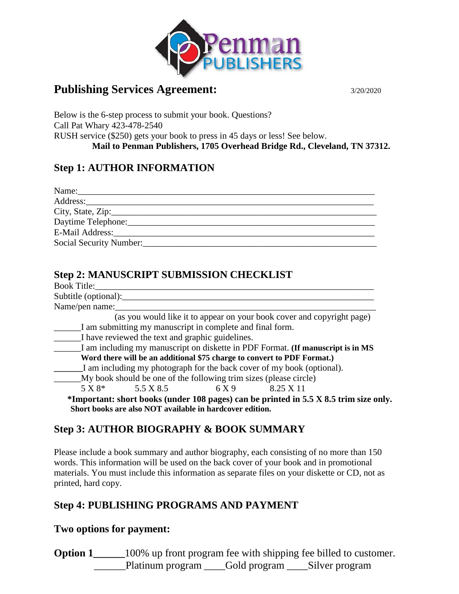

# **Publishing Services Agreement:** 3/20/2020

Below is the 6-step process to submit your book. Questions? Call Pat Whary 423-478-2540 RUSH service (\$250) gets your book to press in 45 days or less! See below.  **Mail to Penman Publishers, 1705 Overhead Bridge Rd., Cleveland, TN 37312.**

### **Step 1: AUTHOR INFORMATION**

| Daytime Telephone:      |
|-------------------------|
| E-Mail Address:         |
| Social Security Number: |

## **Step 2: MANUSCRIPT SUBMISSION CHECKLIST**

| <b>Book Title:</b>   |                                                  |                                                                   |                                                                                              |  |
|----------------------|--------------------------------------------------|-------------------------------------------------------------------|----------------------------------------------------------------------------------------------|--|
| Subtitle (optional): |                                                  |                                                                   |                                                                                              |  |
| Name/pen name:       |                                                  |                                                                   |                                                                                              |  |
|                      |                                                  |                                                                   | (as you would like it to appear on your book cover and copyright page)                       |  |
|                      |                                                  | I am submitting my manuscript in complete and final form.         |                                                                                              |  |
|                      | I have reviewed the text and graphic guidelines. |                                                                   |                                                                                              |  |
|                      |                                                  |                                                                   | I am including my manuscript on diskette in PDF Format. (If manuscript is in MS              |  |
|                      |                                                  |                                                                   | Word there will be an additional \$75 charge to convert to PDF Format.)                      |  |
|                      |                                                  |                                                                   | I am including my photograph for the back cover of my book (optional).                       |  |
|                      |                                                  | My book should be one of the following trim sizes (please circle) |                                                                                              |  |
|                      | $5 X 8^*$ $5.5 X 8.5$                            | 6 X 9                                                             | 8.25 X 11                                                                                    |  |
|                      |                                                  |                                                                   | *Important: short books (under 108 pages) can be printed in $5.5 \times 8.5$ trim size only. |  |
|                      |                                                  | Short books are also NOT available in hardcover edition.          |                                                                                              |  |

## **Step 3: AUTHOR BIOGRAPHY & BOOK SUMMARY**

Please include a book summary and author biography, each consisting of no more than 150 words. This information will be used on the back cover of your book and in promotional materials. You must include this information as separate files on your diskette or CD, not as printed, hard copy.

## **Step 4: PUBLISHING PROGRAMS AND PAYMENT**

### **Two options for payment:**

**Option 1** 100% up front program fee with shipping fee billed to customer. \_Platinum program \_\_\_\_Gold program \_\_\_\_Silver program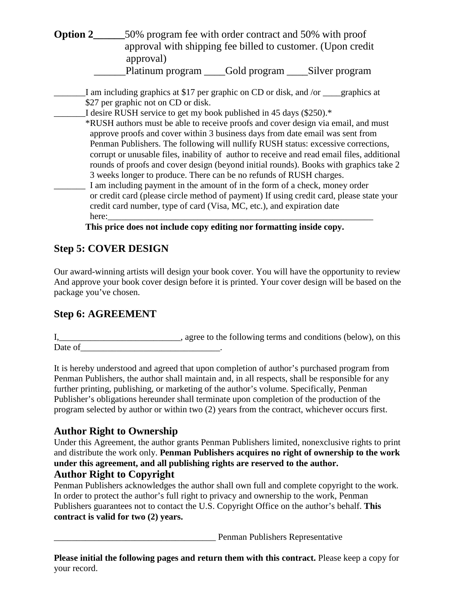**Option 2\_\_\_\_\_\_\_\_\_\_\_50%** program fee with order contract and 50% with proof approval with shipping fee billed to customer. (Upon credit approval) \_\_\_\_\_\_Platinum program \_\_\_\_Gold program \_\_\_\_Silver program

I am including graphics at \$17 per graphic on CD or disk, and /or graphics at \$27 per graphic not on CD or disk.

I desire RUSH service to get my book published in 45 days (\$250).\* \*RUSH authors must be able to receive proofs and cover design via email, and must approve proofs and cover within 3 business days from date email was sent from Penman Publishers. The following will nullify RUSH status: excessive corrections, corrupt or unusable files, inability of author to receive and read email files, additional rounds of proofs and cover design (beyond initial rounds). Books with graphics take 2 3 weeks longer to produce. There can be no refunds of RUSH charges.

I am including payment in the amount of in the form of a check, money order or credit card (please circle method of payment) If using credit card, please state your credit card number, type of card (Visa, MC, etc.), and expiration date here:\_\_\_\_\_\_\_\_\_\_\_\_\_\_\_\_\_\_\_\_\_\_\_\_\_\_\_\_\_\_\_\_\_\_\_\_\_\_\_\_\_\_\_\_\_\_\_\_\_\_\_\_\_\_\_\_\_\_\_

**This price does not include copy editing nor formatting inside copy.**

### **Step 5: COVER DESIGN**

Our award-winning artists will design your book cover. You will have the opportunity to review And approve your book cover design before it is printed. Your cover design will be based on the package you've chosen.

### **Step 6: AGREEMENT**

I,\_\_\_\_\_\_\_\_\_\_\_\_\_\_\_\_\_\_\_\_\_\_\_\_\_\_\_, agree to the following terms and conditions (below), on this Date of the contract of the contract of the contract of the contract of the contract of the contract of the contract of the contract of the contract of the contract of the contract of the contract of the contract of the co

It is hereby understood and agreed that upon completion of author's purchased program from Penman Publishers, the author shall maintain and, in all respects, shall be responsible for any further printing, publishing, or marketing of the author's volume. Specifically, Penman Publisher's obligations hereunder shall terminate upon completion of the production of the program selected by author or within two (2) years from the contract, whichever occurs first.

### **Author Right to Ownership**

Under this Agreement, the author grants Penman Publishers limited, nonexclusive rights to print and distribute the work only. **Penman Publishers acquires no right of ownership to the work under this agreement, and all publishing rights are reserved to the author. Author Right to Copyright**

Penman Publishers acknowledges the author shall own full and complete copyright to the work. In order to protect the author's full right to privacy and ownership to the work, Penman Publishers guarantees not to contact the U.S. Copyright Office on the author's behalf. **This contract is valid for two (2) years.**

Penman Publishers Representative

**Please initial the following pages and return them with this contract.** Please keep a copy for your record.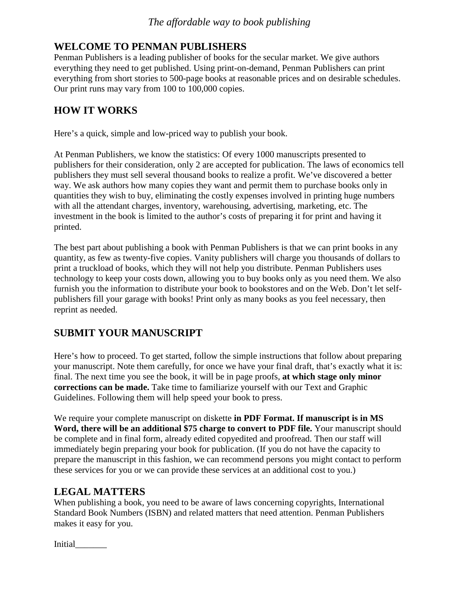# **WELCOME TO PENMAN PUBLISHERS**

Penman Publishers is a leading publisher of books for the secular market. We give authors everything they need to get published. Using print-on-demand, Penman Publishers can print everything from short stories to 500-page books at reasonable prices and on desirable schedules. Our print runs may vary from 100 to 100,000 copies.

# **HOW IT WORKS**

Here's a quick, simple and low-priced way to publish your book.

At Penman Publishers, we know the statistics: Of every 1000 manuscripts presented to publishers for their consideration, only 2 are accepted for publication. The laws of economics tell publishers they must sell several thousand books to realize a profit. We've discovered a better way. We ask authors how many copies they want and permit them to purchase books only in quantities they wish to buy, eliminating the costly expenses involved in printing huge numbers with all the attendant charges, inventory, warehousing, advertising, marketing, etc. The investment in the book is limited to the author's costs of preparing it for print and having it printed.

The best part about publishing a book with Penman Publishers is that we can print books in any quantity, as few as twenty-five copies. Vanity publishers will charge you thousands of dollars to print a truckload of books, which they will not help you distribute. Penman Publishers uses technology to keep your costs down, allowing you to buy books only as you need them. We also furnish you the information to distribute your book to bookstores and on the Web. Don't let selfpublishers fill your garage with books! Print only as many books as you feel necessary, then reprint as needed.

# **SUBMIT YOUR MANUSCRIPT**

Here's how to proceed. To get started, follow the simple instructions that follow about preparing your manuscript. Note them carefully, for once we have your final draft, that's exactly what it is: final. The next time you see the book, it will be in page proofs, **at which stage only minor corrections can be made.** Take time to familiarize yourself with our Text and Graphic Guidelines. Following them will help speed your book to press.

We require your complete manuscript on diskette **in PDF Format. If manuscript is in MS Word, there will be an additional \$75 charge to convert to PDF file.** Your manuscript should be complete and in final form, already edited copyedited and proofread. Then our staff will immediately begin preparing your book for publication. (If you do not have the capacity to prepare the manuscript in this fashion, we can recommend persons you might contact to perform these services for you or we can provide these services at an additional cost to you.)

# **LEGAL MATTERS**

When publishing a book, you need to be aware of laws concerning copyrights, International Standard Book Numbers (ISBN) and related matters that need attention. Penman Publishers makes it easy for you.

Initial\_\_\_\_\_\_\_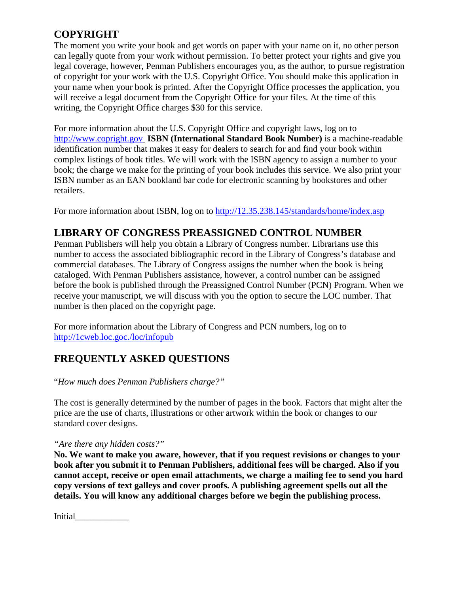# **COPYRIGHT**

The moment you write your book and get words on paper with your name on it, no other person can legally quote from your work without permission. To better protect your rights and give you legal coverage, however, Penman Publishers encourages you, as the author, to pursue registration of copyright for your work with the U.S. Copyright Office. You should make this application in your name when your book is printed. After the Copyright Office processes the application, you will receive a legal document from the Copyright Office for your files. At the time of this writing, the Copyright Office charges \$30 for this service.

For more information about the U.S. Copyright Office and copyright laws, log on to [http://www.copright.gov](http://www.copright.gov/) **ISBN (International Standard Book Number)** is a machine-readable identification number that makes it easy for dealers to search for and find your book within complex listings of book titles. We will work with the ISBN agency to assign a number to your book; the charge we make for the printing of your book includes this service. We also print your ISBN number as an EAN bookland bar code for electronic scanning by bookstores and other retailers.

For more information about ISBN, log on to<http://12.35.238.145/standards/home/index.asp>

# **LIBRARY OF CONGRESS PREASSIGNED CONTROL NUMBER**

Penman Publishers will help you obtain a Library of Congress number. Librarians use this number to access the associated bibliographic record in the Library of Congress's database and commercial databases. The Library of Congress assigns the number when the book is being cataloged. With Penman Publishers assistance, however, a control number can be assigned before the book is published through the Preassigned Control Number (PCN) Program. When we receive your manuscript, we will discuss with you the option to secure the LOC number. That number is then placed on the copyright page.

For more information about the Library of Congress and PCN numbers, log on to <http://1cweb.loc.goc./loc/infopub>

# **FREQUENTLY ASKED QUESTIONS**

"*How much does Penman Publishers charge?"*

The cost is generally determined by the number of pages in the book. Factors that might alter the price are the use of charts, illustrations or other artwork within the book or changes to our standard cover designs.

#### *"Are there any hidden costs?"*

**No. We want to make you aware, however, that if you request revisions or changes to your book after you submit it to Penman Publishers, additional fees will be charged. Also if you cannot accept, receive or open email attachments, we charge a mailing fee to send you hard copy versions of text galleys and cover proofs. A publishing agreement spells out all the details. You will know any additional charges before we begin the publishing process.**

Initial\_\_\_\_\_\_\_\_\_\_\_\_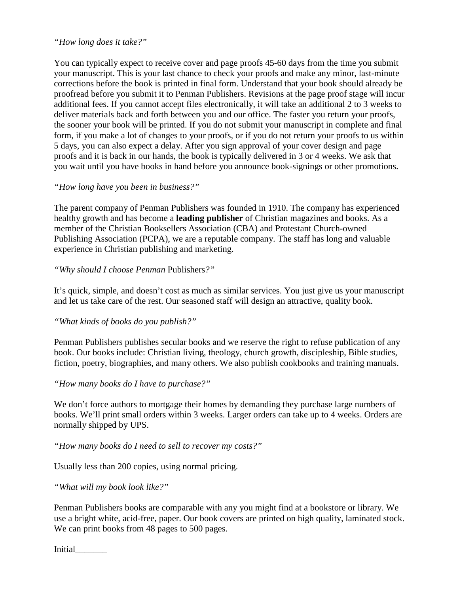#### *"How long does it take?"*

You can typically expect to receive cover and page proofs 45-60 days from the time you submit your manuscript. This is your last chance to check your proofs and make any minor, last-minute corrections before the book is printed in final form. Understand that your book should already be proofread before you submit it to Penman Publishers. Revisions at the page proof stage will incur additional fees. If you cannot accept files electronically, it will take an additional 2 to 3 weeks to deliver materials back and forth between you and our office. The faster you return your proofs, the sooner your book will be printed. If you do not submit your manuscript in complete and final form, if you make a lot of changes to your proofs, or if you do not return your proofs to us within 5 days, you can also expect a delay. After you sign approval of your cover design and page proofs and it is back in our hands, the book is typically delivered in 3 or 4 weeks. We ask that you wait until you have books in hand before you announce book-signings or other promotions.

#### *"How long have you been in business?"*

The parent company of Penman Publishers was founded in 1910. The company has experienced healthy growth and has become a **leading publisher** of Christian magazines and books. As a member of the Christian Booksellers Association (CBA) and Protestant Church-owned Publishing Association (PCPA), we are a reputable company. The staff has long and valuable experience in Christian publishing and marketing.

#### *"Why should I choose Penman* Publishers*?"*

It's quick, simple, and doesn't cost as much as similar services. You just give us your manuscript and let us take care of the rest. Our seasoned staff will design an attractive, quality book.

#### *"What kinds of books do you publish?"*

Penman Publishers publishes secular books and we reserve the right to refuse publication of any book. Our books include: Christian living, theology, church growth, discipleship, Bible studies, fiction, poetry, biographies, and many others. We also publish cookbooks and training manuals.

#### *"How many books do I have to purchase?"*

We don't force authors to mortgage their homes by demanding they purchase large numbers of books. We'll print small orders within 3 weeks. Larger orders can take up to 4 weeks. Orders are normally shipped by UPS.

#### *"How many books do I need to sell to recover my costs?"*

Usually less than 200 copies, using normal pricing.

#### *"What will my book look like?"*

Penman Publishers books are comparable with any you might find at a bookstore or library. We use a bright white, acid-free, paper. Our book covers are printed on high quality, laminated stock. We can print books from 48 pages to 500 pages.

Initial\_\_\_\_\_\_\_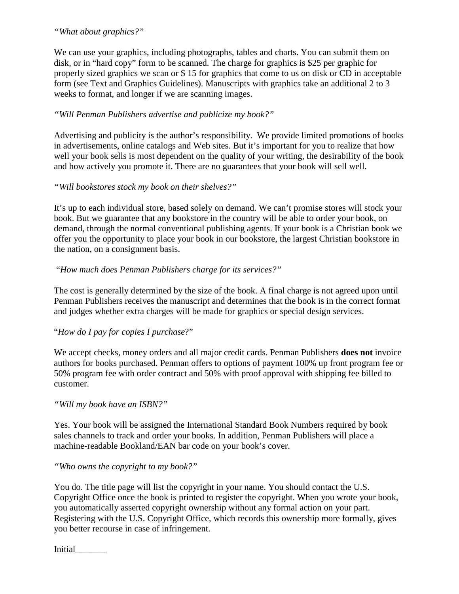#### *"What about graphics?"*

We can use your graphics, including photographs, tables and charts. You can submit them on disk, or in "hard copy" form to be scanned. The charge for graphics is \$25 per graphic for properly sized graphics we scan or \$ 15 for graphics that come to us on disk or CD in acceptable form (see Text and Graphics Guidelines). Manuscripts with graphics take an additional 2 to 3 weeks to format, and longer if we are scanning images.

### *"Will Penman Publishers advertise and publicize my book?"*

Advertising and publicity is the author's responsibility. We provide limited promotions of books in advertisements, online catalogs and Web sites. But it's important for you to realize that how well your book sells is most dependent on the quality of your writing, the desirability of the book and how actively you promote it. There are no guarantees that your book will sell well.

#### *"Will bookstores stock my book on their shelves?"*

It's up to each individual store, based solely on demand. We can't promise stores will stock your book. But we guarantee that any bookstore in the country will be able to order your book, on demand, through the normal conventional publishing agents. If your book is a Christian book we offer you the opportunity to place your book in our bookstore, the largest Christian bookstore in the nation, on a consignment basis.

#### "*How much does Penman Publishers charge for its services?"*

The cost is generally determined by the size of the book. A final charge is not agreed upon until Penman Publishers receives the manuscript and determines that the book is in the correct format and judges whether extra charges will be made for graphics or special design services.

#### "*How do I pay for copies I purchase*?"

We accept checks, money orders and all major credit cards. Penman Publishers **does not** invoice authors for books purchased. Penman offers to options of payment 100% up front program fee or 50% program fee with order contract and 50% with proof approval with shipping fee billed to customer.

#### *"Will my book have an ISBN?"*

Yes. Your book will be assigned the International Standard Book Numbers required by book sales channels to track and order your books. In addition, Penman Publishers will place a machine-readable Bookland/EAN bar code on your book's cover.

#### *"Who owns the copyright to my book?"*

You do. The title page will list the copyright in your name. You should contact the U.S. Copyright Office once the book is printed to register the copyright. When you wrote your book, you automatically asserted copyright ownership without any formal action on your part. Registering with the U.S. Copyright Office, which records this ownership more formally, gives you better recourse in case of infringement.

Initial\_\_\_\_\_\_\_